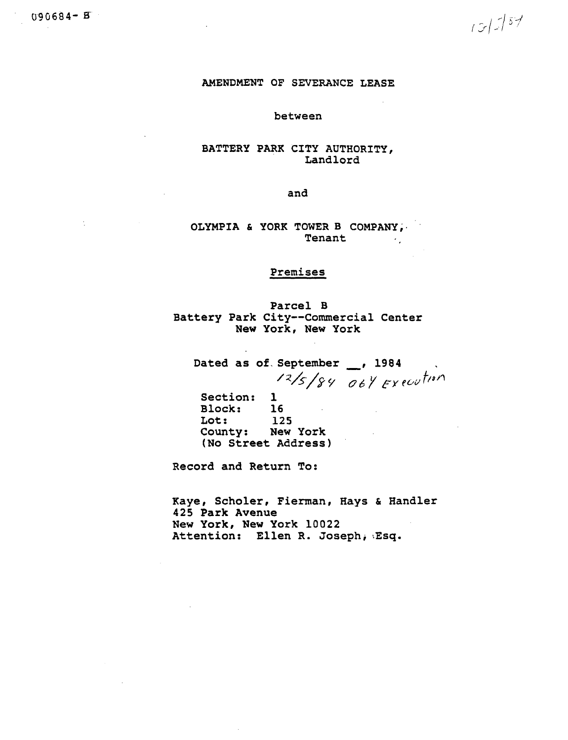$13/757$ 

## AMENDMENT OF SEVERANCE LEASE

#### between

## BATTERY PARK CITY AUTHORITY, Landlord

and

OLYMPIA & YORK TOWER B COMPANY, Tenant  $\sim 10^{11}$ 

# Premises

Parcel B Battery Park City--Commercial Center New York, New York

Dated as of September 1984  $12/5/84$  oby Execution

Section: 1  $16$ **Block:** Lot: 125 County: New York (No Street Address)

Record and Return To:

Kaye, Scholer, Fierman, Hays & Handler 425 Park Avenue New York, New York 10022 Attention: Ellen R. Joseph, Esq.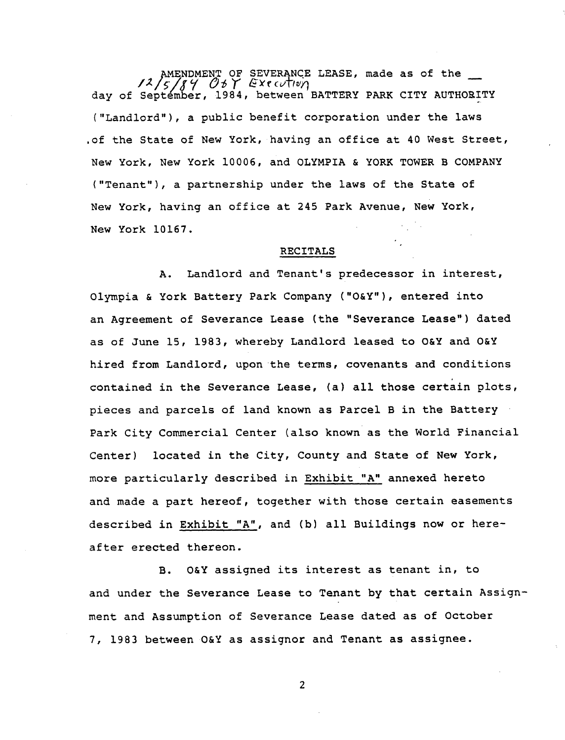AMENDMENT OF SEVERANCE LEASE, made as of the <br>  $\frac{2}{5}$  / 5 / *A*  $\frac{1}{5}$  / *EXECUTIV*<sub>1</sub> **day o**f **Se**p**tember, , b**e**t**we**e**n B**ATTERY PARK C**I**TY AUT**H**OE**I**TY** ("**L**an**dlord**"**),** a p**ublic ben**e**fit cor**p**oration under the l**a**ws .o**f **the State o**f Ne**w Yo**r**k, havi**n**g** an **o**ff**ice** a**t** 4**0** W**est** S**t**r**eet,** N**ew** Y**ork,** N**e**w Y**ork 10006, and OLY**M**PIA & YORK TO**W**ER** B **CO**M**PA**N**Y (**"**Tena**nt"**), a** p**ar**t**ne**r**shi**p **under the law**s **o**f **the State of** N**e**w **Yo**r**k, having an of**f**ice a**t **2**4**5 Park Avenue,** N**ew Yor**k**,** N**ew** Y**o**rk **I0**1**67.**

# **RECITALS**

**A. Land**l**ord and T**en**ant'**s **predecessor in intere**s**t, O**lymp**i**a **& York** B**attery Par**k **Com**p**any ("O&Y"), entered into an Ag**re**ement** o**f Severance Lease (the** "**Severance Lease'**"**) dated as o**f J**une 15, 1983,** w**he**r**e**b**y Landlo**r**d leased t**o **O&Y and O&**Y **hired** f**rom Landlo**r**d, u**p**onthe terms, covenants and condition**s **co**nt**ai**n**ed in the Se**v**erance Lease, (a) all th**o**s**e **certain** pl**ot**s**,** p**iece**s an**d** p**arcels of land k**n**own a**s **Pa**r**cel** B **in the** B**atte**r**y Park City Commercial Center** (**a**ls**o known a**s **the** Wo**rl**d F**i**n**a**n**cial Ce**nt**er) loca**te**d in the City, C**o**unty a**n**d S**t**a**t**e of N**e**w Yo**r**k,** m**o**r**e** p**a**rt**icular**l**y described in Exhibit** "**A**" **annexed he**r**eto a**n**d made a** p**ar**t **hereof, toge**t**her with tho**s**e certain easement**s **d**es**cribed in Exhibit** "**A", and (**b) **all** B**ui**l**di**n**g**s **now or her**eaf**ter erected thereon.**

**B. O&Y a**ss**igned it**s **i**n**tere**s**t a**s t**en**a**nt in, to a**n**d under the Seve**r**a**n**ce Lease** t**o T**e**nant by that certain A**ss**i**g**n**men**t** and Assumpti**o**n of Severance **Le**ase date**d** as **of** O**c**t**o**ber 7, 19**83** between O&Y as assign**o**r and Ten**a**nt **a**s assignee.

2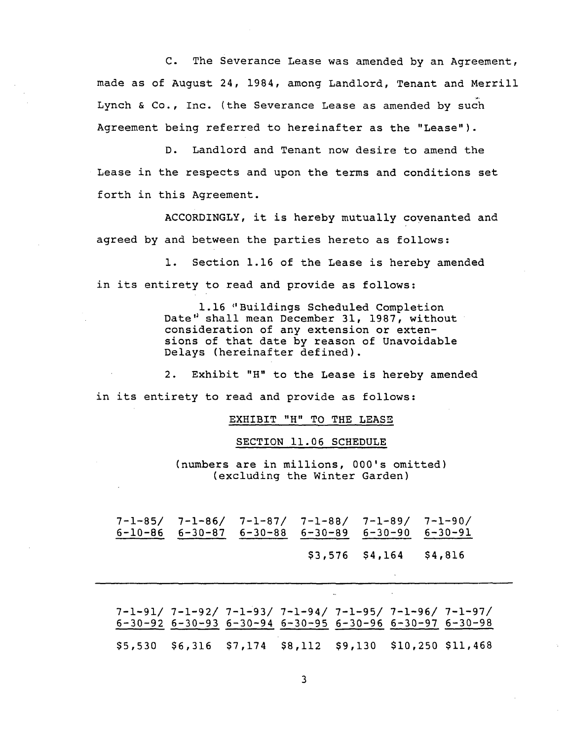C. The Severance Lease was amended by an Agreement, made as of August 24, 1984, among Landlord, Tenant and Merrill Lynch & Co., Inc. (the Severance Lease as amended by such Agreement being referred to hereinafter as the "Lease").

D. Landlord and Tenant now desire to amend the Lease in the respects and upon the terms and conditions set forth in this Agreement.

ACCORDINGLY, it is hereby mutually covenanted and agreed by and between the parties hereto as follows:

I. Section 1.16 of the Lease is hereby amended in its entirety to read and provide as follows:

> 1.16 \_'Buildings Scheduled Completion Date" shall mean December 31, 1987, without consideration of any extension or extensions of that date by reason of Unavoidable Delays (hereinafter defined).

2. Exhibit "H" to the Lease is hereby amended in its entirety to read and provide as follows:

EXHIBIT "H" TO THE LEASE

SECTION 11.06 SCHEDULE

(numbers are in millions, 000's omitted) (excluding the Winter Garden)

7-1-85/ 7-1-86/ 7-1-87/ 7-1-88/ 7-1-89/ 7-1-90/ 6-10-86 6-30-87 6-30-88 6-30-89 6-30-90 6-30-91 \$3,576 \$4,164 \$4,816

7-1-91/ 7-1-92/ 7-1"93/ 7-1-94/ 7-1-95/ 7-1-96/ 7-1-97/ 6-30-92 6-30-93 6-30-94 6-30-95 6-30-96 6-30-97 6-30-98 \$5,530 \$6,316 \$7,174 \$8,112 \$9,130 \$10,250 \$11,468

3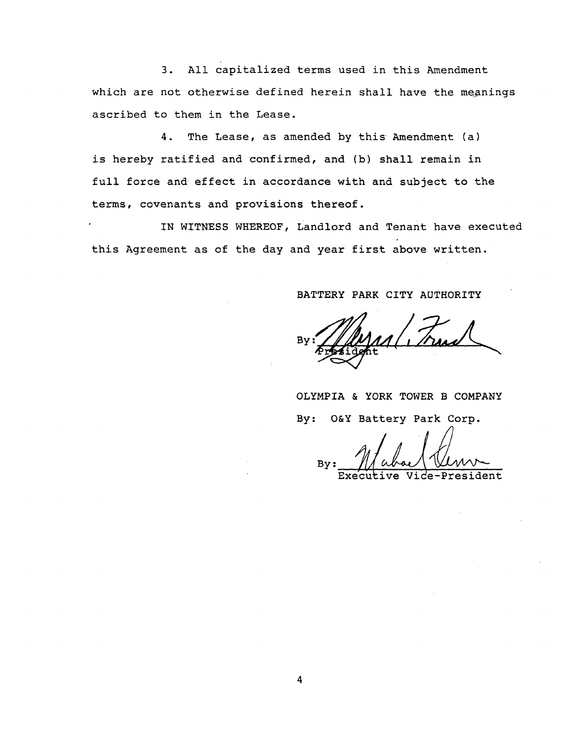3. All capitalized terms used in this Amendment which are not otherwise defined herein shall have the meanings ascribed to them in the Lease.

4. The Lease, as amended by this Amendment (a) is hereby ratified and confirmed, and (b) shall remain in full force and effect in accordance with and subject to the terms, covenants and provisions thereof.

IN WITNESS WHEREOF, Landlord and Tenant have executed this Agreement as of the day and year first above written.

# BATTERY PARK CITY AUTHORITY

Bv **.** By:\_

OLYMPIA & YORK TOWER B COMPANY By: O&Y Battery Park Corp.

Executive Vide-Presid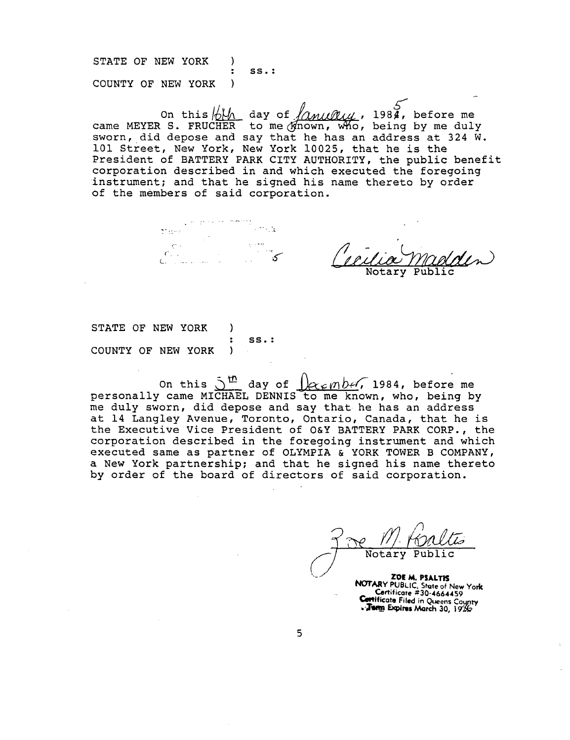S**T**A**T**E OF N**E**W YORK ) : SS.: COUNTY OF NEW YORK

COUNTY OF NEW YORK )<br>On this  $\frac{1}{2}$  day of  $\frac{1}{2}$  and  $\frac{1}{2}$ , before me<br>came MEYER S. FRUCHER to me (Xnown, who, being by me dul sworn, did depose and say that he has an address at 324 W. 101 Street, New York, New York 10025, that he is the President of BATTERY PARK CITY AUTHORITY, the public benefit corporation described in and which executed the foregoing instrument; and that he signed his name thereto by order of the members of said corporation.

 $\mathbb{Z}^7$  :18.0 .  $C_{\rm{max}}$ 

 $Notary$  Publ

STATE OF NEW YORK ) : SS.: COUNTY OF NEW YORK )  $\sim 10^{-11}$ 

On this  $\delta$  day of  $|k \times \epsilon \, m$  Def, 1984, before m personally came MICHAEL DENNIS to me known, who, being b me duly sworn, did depose and say that he has an address at 14 Langley Avenue, Toronto, Ontario, Canada, that he is the Executive Vice President of O&Y BATTERY PARK CORP., the corporation described in the foregoing instrument and which executed same as partner of OLYMPIA & YORK TOWER B COMPANY, a New York partnership; and that he signed his name thereto by order of the board of directors of said corporation.

\_// Notary Public '**-**-**.** <sup>Z</sup>**OE** M. **PSALTIS N**O**TARY** P**UBLIC, Shire of** N**ew York** \_ **C**e**rtificate ,**\_**'**3**0**-**46644**5**9** C\_**l**q**ifica**t**e Filed in Que**e**ns Contificate** Filed in Queens County<br> **Temp Expires** March 30, 1926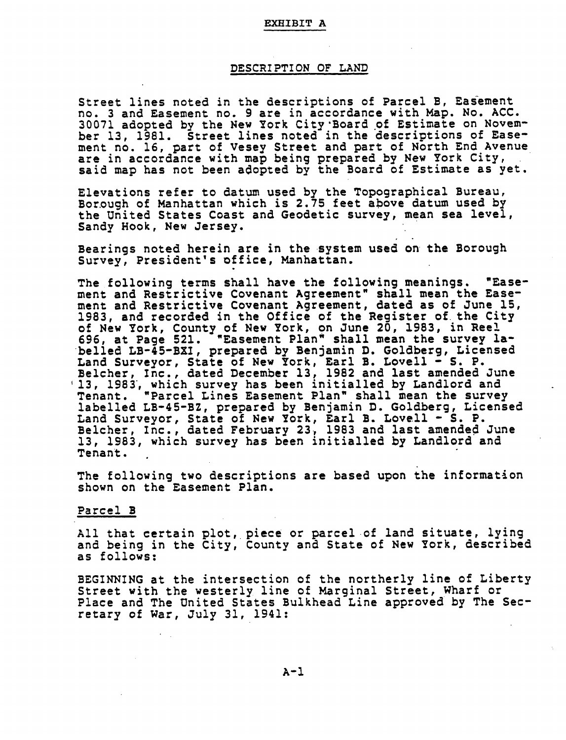#### **EX**B**I**B**IT A**

### **DESCRIPTION OF LAND**

Str**ee**t **li**nes n**o**te**d** in t**he** d**e**scr**i**pt**i**ons **of Pa**r**cel** B, **E**asem**e**nt no. **3 a**n**d E**asem**e**nt no. 9 are in ac**c**or**d**an**ce** w**i**th Map. No. ACC. **30071 ado**pt**ed** by t**he** N**e**w **Yo**rk **C**ity**'**Bo**a**rd of **E**st**ima**te **o**n N**o**ve**mbe**r **13, 1**9**81**. St**ree**t **line**s **no**t**ed in** t**he de**s**c**r**ip**ti**o**n**s of Ea**s**eme**n**t** no. 1**6**, **pa**rt **of** Vesey S**t**r**ee**t **a**nd **pa**rt o**f** N**o**rth **E**nd Avenu**e a**r**e** in **acc**or**da**n**ce** wit**h map** b**ei**ng **p**r**epa**r**ed** b**y** New **Yo**rk **Ci**t**y**, sa**id** map has not been **a**do**p**te**d b**y the Boar**d** o**f E**stimate **a**s yet.

**E**l**e**v**a**t**i**ons r**efe**r t**o da**tum use**d** b**y** t**he Topo**gr**aphical** Bure**a**u, Borough o**f** Manhatt**a**n whi**c**h is **2**.7**5 f**ee**t a**bove **d**atum us**ed** by th**e U**nit**ed** S**t**a**t**e**s** Co**as**t **a**n**d Ge**odeti**c su**rv**e**y, **mea**n **sea le**vel, San**dy** Hook, N**e**w **Je**rs**ey**.

**Bear**ings no**ted here**in **are i**n t**he** s**y**st**e**m **u**s**ed** on t**he Bo**roug**h** Survey, **P**res**i**d**e**nt's o**ffice,** Man**ha**tt**a**n.

**Th**e **foll**o**w**ing **te**r**m**s s**hall ha**v**e** t**he foll**o**win**g **mea**n**i**ngs**.** "**Ea**s**eme**nt **a**nd **Re**st**r**i**c**tive **C**oven**a**nt **A**gr**e**e**m**ent**"** s**hall mea**n t**he Ea**s**e**ment **an**d R**e**st**r**i**c**tiv**e C**ov**e**n**an**t **Agree**m**ent, dated a**s o**f J**un**e 15, 1983, and rec**or**ded** i**n** t**he** O**ffice of** t**he** R**e**gist**e**r o**f the Ci**ty **of New York, Coun**ty **of New Y**or**k,** o**n June 20, 1**9**83, in** R**eel 696, a**t **Pa**g**e 521. "Ea**s**e**ment **Pla**n**"** s**hall** m**ean** t**he** s**u**rv**ey labelled** LB-4**5-B**X**I**, **p**r**epa**r**ed** by **Be**n**jam**in **D**. **Gol**dberg**, L**i**ce**ns**ed La**n**d** Sur**ve**y**o**r**,** St**a**t**e** o**f N**e**w Yo**rk, E**arl** B**. Lo**ve**l**l **-** S**. P.** Bel**ch**e**r, I**nc**., da**t**ed Decembe**r **13, 1**9**82 a**nd **la**st **ame**n**ded** Ju**n**e 1**3,** 19**83, wh**i**ch** s**u**rv**ey ha**s **been** i**n**iti**a**l**l**e**d by La**n**d**lord **an**d **T**en**a**nt**. "Pa**r**c**el **Li**n**e**s E**a**s**eme**n**t Pla**n**"** s**hall mea**n t**h**e s**u**rv**e**y l**ab**elled **LB-**4**5-**B**Z, p**r**epa**re**d** b**y Be**n**jami**n **D. G**old**be**rg**, Lice**nse**d La**n**d** Surv**e**y**o**r**,** St**a**te of Ne**w** Y**o**rk**, Earl** B**. L**o**v**e**l**l **-** S**. P. B**el**ch**er**,** In**c., da**ted **F**e**b**ru**a**r**y 23**, **1983 an**d **la**st **ame**n**ded June 13, 1**9**83, wh**i**ch** su**r**v**e**y **h**a**s** b**ee**n initi**all**ed **b**y **Lan**dlo**r**d **an**d **T**e**na**nt**.**

**Th**e **follow**i**ng** t**w**o **de**s**cr**ipti**on**s **a**r**e ba**s**ed** u**p**on **the** i**nf**orm**a**ti**on** s**h**o**w**n on t**he Ea**sem**e**nt **Pla**n.

## **Parcel B**

**All** t**ha**t **ce**rt**a**in p**l**ot**, piece o**r **pa**r**c**e**l of la**n**d** s**i**tu**a**t**e, l**yi**n**g **and being in** t**he Ci**t**y**, **Co**u**n**t**y a**n**d** St**a**t**e** o**f** Ne**w Yo**rk**, d**es**cr**i**bed a**s **f**o**llow**s:

**BEGI**NN**I**N**G a**t t**he** in**te**rs**ecti**on **of the n**ort**he**r**ly li**ne **of Libe**rt**y** Str**ee**t **w**it**h** t**he w**est**e**r**l**y **l**i**ne** o**f M**arg**inal** Str**ee**t**, Wha**r**f or Place and** T**he U**n**i**t**ed** St**a**tes **Bul**k**head Li**n**e app**r**oved by The** S**ec** $retary of War, July 31, 1941:$ 

A**-**I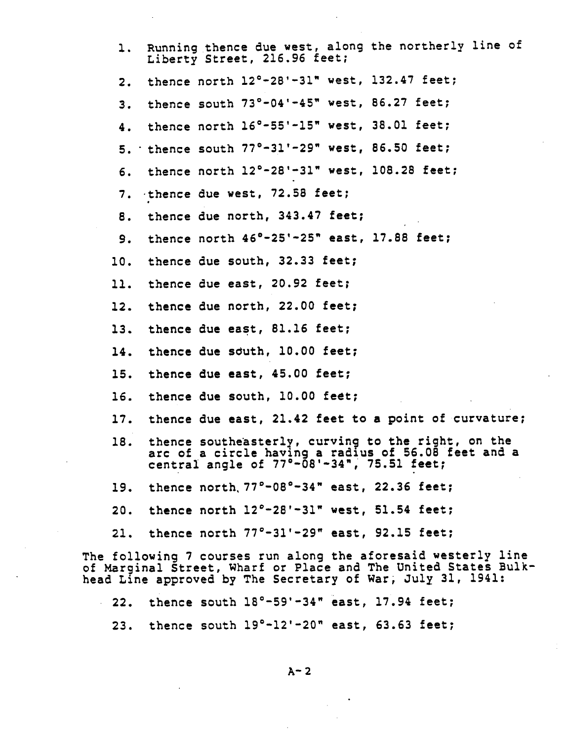| thence north 12°-28'-31" west, 132.47 feet;<br>$\mathbf{2}$ .<br>thence south 73°-04'-45" west, 86.27 feet;<br>3.<br>thence north 16°-55'-15" west, 38.01 feet;<br>4.<br>5. thence south $77^{\circ}-31^{\circ}-29^{\circ}$ west, 86.50 feet;<br>thence north 12°-28'-31" west, 108.28 feet;<br>6.<br>thence due west, 72.58 feet;<br>7.<br>thence due north, 343.47 feet;<br>8.<br>thence north 46°-25'-25" east, 17.88 feet;<br>9.<br>thence due south, 32.33 feet;<br>10.<br>11. thence due east, 20.92 feet;<br>thence due north, 22.00 feet;<br>12.<br>thence due east, 81.16 feet;<br>13.<br>thence due south, 10.00 feet;<br>14.<br>thence due east, 45.00 feet;<br>15.<br>16. thence due south, 10.00 feet;<br>17. thence due east, 21.42 feet to a point of curvature;<br>thence southeasterly, curving to the right, on the<br>18.<br>arc of a circle having a radius of 56.08 feet and a<br>central angle of $77^\circ - \overline{0}8' - 34''$ , 75.51 feet;<br>19. thence north 77°-08°-34" east, 22.36 feet;<br>20. thence north $12^{\circ}$ -28'-31" west, 51.54 feet;<br>21. thence north $77^{\circ}-31^{\prime}-29^{\prime\prime}$ east, 92.15 feet;<br>The following 7 courses run along the aforesaid westerly line<br>of Marginal Street, Wharf or Place and The United States Bulk-<br>head Line approved by The Secretary of War, July 31, 1941: | 1. | Running thence due west, along the northerly line of<br>Liberty Street, 216.96 feet; |
|--------------------------------------------------------------------------------------------------------------------------------------------------------------------------------------------------------------------------------------------------------------------------------------------------------------------------------------------------------------------------------------------------------------------------------------------------------------------------------------------------------------------------------------------------------------------------------------------------------------------------------------------------------------------------------------------------------------------------------------------------------------------------------------------------------------------------------------------------------------------------------------------------------------------------------------------------------------------------------------------------------------------------------------------------------------------------------------------------------------------------------------------------------------------------------------------------------------------------------------------------------------------------------------------------------------------------------------------------------------------------|----|--------------------------------------------------------------------------------------|
|                                                                                                                                                                                                                                                                                                                                                                                                                                                                                                                                                                                                                                                                                                                                                                                                                                                                                                                                                                                                                                                                                                                                                                                                                                                                                                                                                                          |    |                                                                                      |
|                                                                                                                                                                                                                                                                                                                                                                                                                                                                                                                                                                                                                                                                                                                                                                                                                                                                                                                                                                                                                                                                                                                                                                                                                                                                                                                                                                          |    |                                                                                      |
|                                                                                                                                                                                                                                                                                                                                                                                                                                                                                                                                                                                                                                                                                                                                                                                                                                                                                                                                                                                                                                                                                                                                                                                                                                                                                                                                                                          |    |                                                                                      |
|                                                                                                                                                                                                                                                                                                                                                                                                                                                                                                                                                                                                                                                                                                                                                                                                                                                                                                                                                                                                                                                                                                                                                                                                                                                                                                                                                                          |    |                                                                                      |
|                                                                                                                                                                                                                                                                                                                                                                                                                                                                                                                                                                                                                                                                                                                                                                                                                                                                                                                                                                                                                                                                                                                                                                                                                                                                                                                                                                          |    |                                                                                      |
|                                                                                                                                                                                                                                                                                                                                                                                                                                                                                                                                                                                                                                                                                                                                                                                                                                                                                                                                                                                                                                                                                                                                                                                                                                                                                                                                                                          |    |                                                                                      |
|                                                                                                                                                                                                                                                                                                                                                                                                                                                                                                                                                                                                                                                                                                                                                                                                                                                                                                                                                                                                                                                                                                                                                                                                                                                                                                                                                                          |    |                                                                                      |
|                                                                                                                                                                                                                                                                                                                                                                                                                                                                                                                                                                                                                                                                                                                                                                                                                                                                                                                                                                                                                                                                                                                                                                                                                                                                                                                                                                          |    |                                                                                      |
|                                                                                                                                                                                                                                                                                                                                                                                                                                                                                                                                                                                                                                                                                                                                                                                                                                                                                                                                                                                                                                                                                                                                                                                                                                                                                                                                                                          |    |                                                                                      |
|                                                                                                                                                                                                                                                                                                                                                                                                                                                                                                                                                                                                                                                                                                                                                                                                                                                                                                                                                                                                                                                                                                                                                                                                                                                                                                                                                                          |    |                                                                                      |
|                                                                                                                                                                                                                                                                                                                                                                                                                                                                                                                                                                                                                                                                                                                                                                                                                                                                                                                                                                                                                                                                                                                                                                                                                                                                                                                                                                          |    |                                                                                      |
|                                                                                                                                                                                                                                                                                                                                                                                                                                                                                                                                                                                                                                                                                                                                                                                                                                                                                                                                                                                                                                                                                                                                                                                                                                                                                                                                                                          |    |                                                                                      |
|                                                                                                                                                                                                                                                                                                                                                                                                                                                                                                                                                                                                                                                                                                                                                                                                                                                                                                                                                                                                                                                                                                                                                                                                                                                                                                                                                                          |    |                                                                                      |
|                                                                                                                                                                                                                                                                                                                                                                                                                                                                                                                                                                                                                                                                                                                                                                                                                                                                                                                                                                                                                                                                                                                                                                                                                                                                                                                                                                          |    |                                                                                      |
|                                                                                                                                                                                                                                                                                                                                                                                                                                                                                                                                                                                                                                                                                                                                                                                                                                                                                                                                                                                                                                                                                                                                                                                                                                                                                                                                                                          |    |                                                                                      |
|                                                                                                                                                                                                                                                                                                                                                                                                                                                                                                                                                                                                                                                                                                                                                                                                                                                                                                                                                                                                                                                                                                                                                                                                                                                                                                                                                                          |    |                                                                                      |
|                                                                                                                                                                                                                                                                                                                                                                                                                                                                                                                                                                                                                                                                                                                                                                                                                                                                                                                                                                                                                                                                                                                                                                                                                                                                                                                                                                          |    |                                                                                      |
|                                                                                                                                                                                                                                                                                                                                                                                                                                                                                                                                                                                                                                                                                                                                                                                                                                                                                                                                                                                                                                                                                                                                                                                                                                                                                                                                                                          |    |                                                                                      |
|                                                                                                                                                                                                                                                                                                                                                                                                                                                                                                                                                                                                                                                                                                                                                                                                                                                                                                                                                                                                                                                                                                                                                                                                                                                                                                                                                                          |    |                                                                                      |
|                                                                                                                                                                                                                                                                                                                                                                                                                                                                                                                                                                                                                                                                                                                                                                                                                                                                                                                                                                                                                                                                                                                                                                                                                                                                                                                                                                          |    |                                                                                      |
|                                                                                                                                                                                                                                                                                                                                                                                                                                                                                                                                                                                                                                                                                                                                                                                                                                                                                                                                                                                                                                                                                                                                                                                                                                                                                                                                                                          |    |                                                                                      |

**22**. then**c**e south 18°-59'-**3**4**"** east, 17.94 **f**eet;

**2**3. thence south 19°-1**2**'-**2**0**"** east, **63**.**63** feet;

A**-**2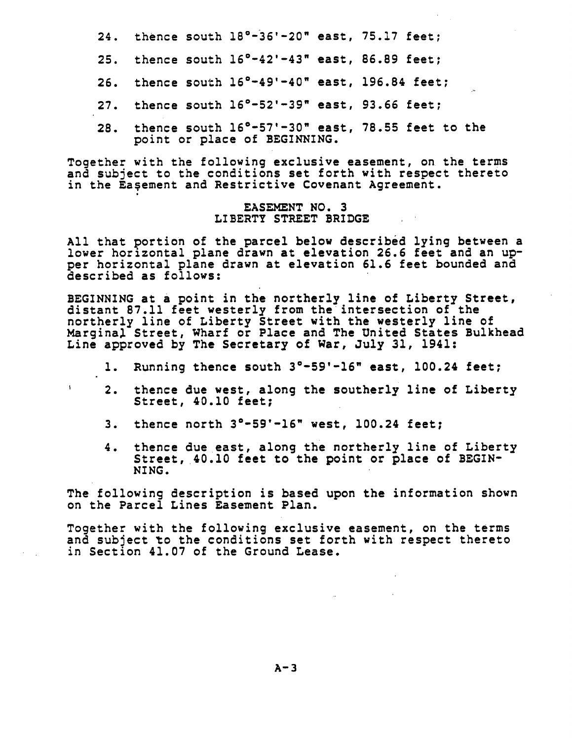**2**4. t**he**n**ce** s**o**u**th 18**°**-36**'**-20" e**ast, 7**5**.**1**7 **fee**t;

- **25. the**n**ce so**ut**h 1**6°**-**4**2**'**-**4**3" ea**st**, 86.89 fee**t;
- **26. the**n**ce so**ut**h 1**6°**-**4**9'-40" ea**st**, 196.8**4 **fee**t;
- **27.** t**he**n**ce so**ut**h** 1**6**°**-52'-39" ea**st**,** 9**3.66 fee**t**;**
- **28.** t**he**n**ce** s**o**ut**h 16**°**-57**'**-30" ea**s**t, 78.**5**5 feet** to t**he poi**nt **o**r **place** o**f BEGINNING.**

**T**og**e**t**he**r **w**it**h** t**he followi**n**g excl**usi**ve ea**s**e**m**en**t**, on** t**he** t**e**r**ms a**n**d** su**bjec**t t**o** t**he c**on**d**iti**o**ns s**e**t **fo**r**th wi**t**h** resp**ec**t ther**e**to in t**h**e **E**a@**e**m**e**nt **a**nd R**e**stri**c**tive Co**ve**n**a**nt **A**g**reeme**nt.

## **EASEMENT NO. 3 LI**B**ERTY** S**T**R**EET BRIDGE**

A**ll** t**ha**t **p**orti**o**n o**f** t**he pa**r**cel below** des**c**ri**bed ly**in**g** betwe**e**n **a lowe**r **ho**ri**zo**nt**al pla**ne **d**r**aw**n **a**t **eleva**tion **26.6 fee**t **a**nd **a**n **uppe**r **ho**ri**zo**nt**a**l **pla**ne **d**r**aw**n **a**t e**l**e**va**tion **61.6 f**eet boun**ded a**nd **de**s**c**r**ibed as foll**o**w**s:

**BEGINNING** at **a p**o**i**nt in t**he** nor**the**r**l**y **li**n**e** o**f L**ib**e**rt**y S**t**re**et, di**s**t**an**t **87**.**11 feet wes**t**e**r**l**y **f**rom t**he** i**n**ters**ec**tio**n of** t**he n**ort**he**r**ly li**n**e of L**i**ber**t**y** St**ree**t **w**it**h** t**he we**st**e**r**ly line** o**f Mar**gin**al** S**tr**e**e**t, W**ha**r**f** or **Place a**nd **The U**nit**e**d St**ate**s **B**u**l**k**head L**in**e a**ppr**o**v**ed b**y **Th**e S**ec**ret**a**ry o**f Wa**r, **J**u**ly 31**, **1**94**1:**

- I**. Ru**n**n**in**g** t**he**n**ce** sout**h 3**°**-59'-16"** e**a**st**, 100.2**4 **fe**et;
- **2**. **th**en**ce** du**e w**es**t**, **al**ong t**he** sout**he**r**l**y **l**in**e** o**f L**ibe**r**ty St**ree**t**, 40**.**10 fee**t;
- **3.** t**h**e**nce** n**o**rt**h 3**"**-5**9**'-16"** w**e**st**, 100.2**4 **f**eet;

 $\mathbf{I}$ 

**4**. t**he**n**ce d**u**eea**st**,** a**l**on**g** t**he** n**o**rt**he**r**ly l**in**e** o**f L**i**be**rt**y** Str**ee**t**,** 4**0**.**i0 fee**t to t**he p**o**i**nt or **place of BEGIN**-**NI**N**G.**

**The f**o**llow**in**g descr**iptio**n** is **ba**s**ed** u**pon** t**he inf**or**ma**ti**on sh**o**wn** on t**h**e **Pa**r**c**e**l Li**n**e**s **Ea**s**eme**nt **Pla**n.

T**o**g**e**t**he**r **w**it**h** t**he follow**in**g excl**us**ive ea**s**eme**nt**,** o**n** t**he t**er**m**s **and** s**ub**j**ec**t \_**o** t**he c**on**d**iti**o**n**s** s**e**t **f**ort**h wi**t**h** r**e**s**p**e**c**t **the**r**e**to i**n** S**ec**tion 4**1**.**07 of** t**h**e **G**r**ound Lea**s**e**.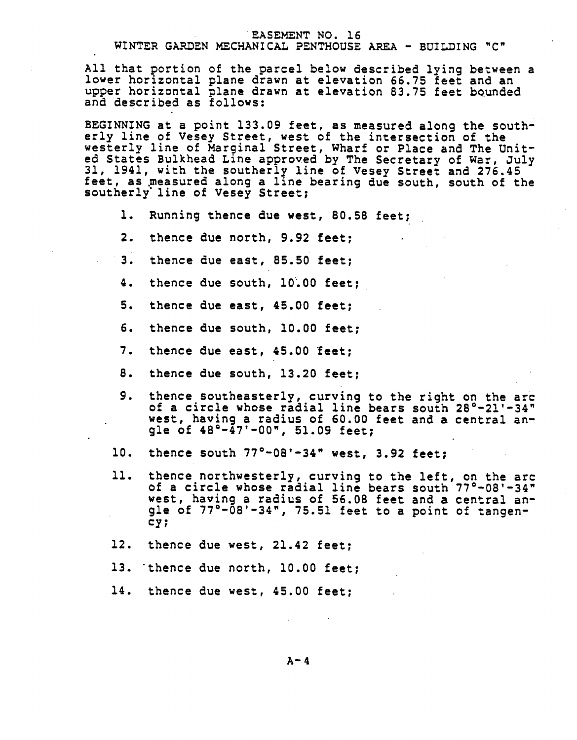#### EASEM**E**NT NO. 16

# WINTER GARDEN M**E**CHANICAL PENTHOUSE AR**E**A - BUILDING "C"

Al**l** t**ha**t **po**rt**io**n o**f** t**he** par**cel** b**e**l**o**w **d**es**c**r**ib**e**d l**y**i**ng **be**t**we**en **a** lower horizontal **p**lane **d**r**a**wn a**t e**l**e**vation **66**.7**5 f**e**e**t and an upper hor**i**zontal plane **d**rawn at **e**lev**a**tion 8**3**.7**5** fe**e**t bQund**e**d an**d de**s**c**r**i**b**ed** as **f**ollows:

B**E**G**I**NNIN**G** at a po**i**nt 1**33**.09 **f**eet, **a**s m**ea**sur**ed** a**l**ong th**e** south**e**rly l**i**ne o**f** Vesey S**t**r**e**et, w**e**s**t** o**f** the int**e**rse**c**tion o**f** th**e** w**e**st**e**rly l**i**n**e** o**f** Marg**i**nal Str**e**et, Whar**f** or **P**la**ce** and The **U**n**ited** States Bulkhea**d L**in**e** a**p**proved by Th**e** S**ec**r**e**tary o**f** Wa**r**, July **3**1, 1941, with th**e** south**e**rly l**i**n**e** o**f** Vese**y** Str**e**et and **2**7**6**.45 **f**ee**t**, as \_**ea**sur**e**d along a l**i**n**e** bearing due south, south o**f** the southerl**y**'lin**e** o**f** Ves**ey** Stre**e**t;

- **i**. **R**unn**i**n**g t**h**e**nc**e** du**e** west, 80.**5**8 **feet**;
- **2**. th**e**n**c**e due north, 9.9**2 fe**et;
- **3**. **the**n**ce** du**e ea**st, **85**.**50 fee**t;
- 4. t**he**n**ce d**u**e so**ut**h**, **i0**.0**0 fee**t;
- **5**. **th**en**ce** du**e ea**s**t**, 4**5**.**00 feet**;
- **6**. **the**n**ce** du**e** sout**h**, **i0**.**00 fee**t;
- **7. the**n**ce** du**e ea**st**,** 4**5.00** f**ee**t;
- **8. thence** du**e** s**o**ut**h, 13.20 feet**;
- 9. **the**n**ce** so**u**t**hea**st**e**r**ly, cu**r**ving** t**o** t**he righ**t on t**he arc of a c**ir**cle who**s**e** r**adial line bea**r**s s**o**u**t**h 28**°**-2**1**'-34" we**st**, hav**in**g a** r**adi**us **of 60.00 feet a**n**d a ce**ntr**a**l **a**n**gle** o**f 48**°**-**4**7**'-**00 "**, **51**.**09 fee**t;
- **i0. the**n**ce** s**ou**t**h 77**°**-08**'**-3**4**" we**s**t, 3.**9**2 fee**t;
- ii. t**h**en**ce** nort**h**westerly, **c**urvi**ng** to t**he lef**t, **o**n **t**h**e a**r**c of a c**ir**cle** who**se** ra**dial l**in**e** b**ea**r**s** south **77**°**-08**'-**3**4**"** w**e**s**t**, **ha**ving **a** r**a**dius **of 56**.**08 fee**t **a**nd **a ce**n**t**r**al a**ng**le of 77**°**-08'-3**4 **", 75.51 fee**t to **a poi**nt **of** tang**e**ncy;
- **12**. **the**n**ce** du**e we**s**t, 21**.**42 fee**t;
- **13**. **the**n**ce d**ue **n**orth, **I0**.**00 feet**;
- **1**4. **thence d**u**e we**st**,** 4**5**.**00 fee**t**;**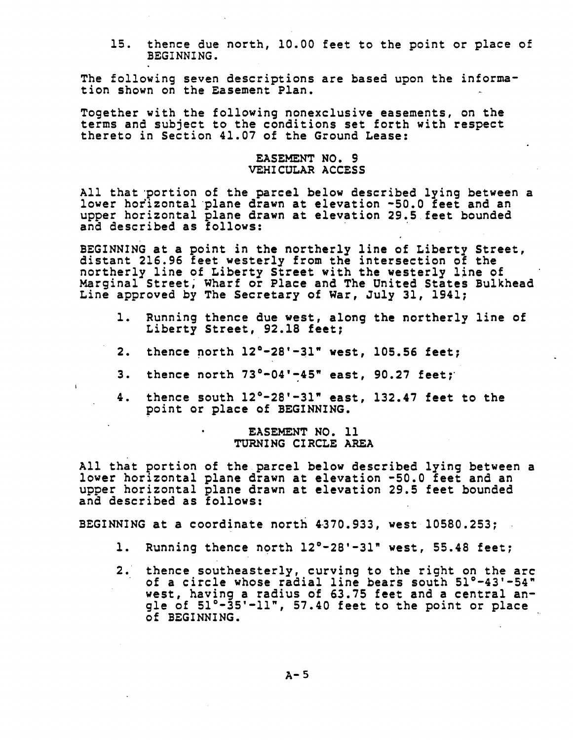**1**5. t**h**e**nc**e **d**ue **no**rt**h**, i**0**.**00 f**eet t**o** t**h**e p**oin**t **o**r **plac**e **of** B**E**GINNING.

The **f**ollow**i**ng seven **d**escriptions **a**re base**d** upon **t**he information s**h**own on t**h**e **E**asem**e**nt **Pla**n.

**To**get**he**r wi**th** t**he fo**l**l**o**w**in**g** n**o**n**exclu**si**ve ea**s**eme**nt**s,** on t**h**e t**e**r**ms an**d s**ubjec**t to t**he condi**ti**on**s s**e**t **fo**rt**h w**it**h re**s**pec**t t**h**er**e**to in Se**c**ti**o**n 4**1.07 of** t**he G**roun**d Lea**s**e:**

## **EA**S**EME**N**T NO. 9 VE**HI**CUL**A**R** A**CCE**SS

**All** t**h**atp**o**rti**o**n o**f** t**he pa**r**cel bel**o**w de**s**c**ri**bed ly**in**g be**t**we**en **a lowe**r **ho**ri**zo**nt**al plane d**r**aw**n **a**t e**l**e**va**tion **-50.0 fee**t **a**nd **a**n upp**e**r **ho**ri**z**ont**a**l **p**l**a**n**e d**r**aw**n **a**t e**l**e**v**at**i**on **2**9**.5 f**eet b**ounded a**n**d d**es**c**r**i**b**ed a**s **fo**llo**w**s**:**

**BEGI**N**NI**N**G a**t **a poi**nt in **the no**rt**he**r**ly line** o**f L**i**ber**t**y** Str**ee**t**,** d**i**st**a**nt **216**.**96 fee**t **we**st**e**r**l**y **f**r**om** t**h**e i**n**t**e**rs**ecti**o**n** o**f** t**he** n**o**rt**he**r**ly l**i**ne of L**i**be**rt**y** Str**eet w**it**h** t**he we**st**e**r**l**y **line of** Mar**gi**n**al** Street\_ W**ha**r**f o**r **Place a**n**d The U**nited St**a**tes **B**u**l**k**head Li**n**e a**p**p**rov**ed** by **The** S**ec**r**e**tar**y of** W**ar**, Ju**l**y **31**, **1**94**1**;

- **i**. **Runni**n**g thence** du**e we**s**t, alo**n**g** t**he** nort**herly l**in**e of Liber**ty St**ree**t**,** 9**2**.**18 fee**t;
- **2.** t**h**e**nc**e **n**o**rth** 1**2°-28'-31"** west**, 105.56 feet**;
- **3.** t**he**n**ce** nor**th 73°-0**4**'-**4**5" ea**st**, 90.27 fee**t;

L

4**. the**n**ce** s**o**u**th 12°-28'-31" ea**s**t, 132.47 fee**t to t**h**e **po**i**n**t o**r place** o**f BEGINNING.**

## **• EA**S**EMENT** N**O. ii TURNING CIRCL**E A**REA**

**A**l**l th**at **po**rtion o**f** t**hepa**r**cel** b**el**ow **de**s**c**ri**bed l**yin**g betwee**n **a** low**e**r horizontal **p**lan**e d**r**a**wn at **e**l**e**vation -50.0 **feet** and an upp**e**r **ho**rizont**a**l p**la**n**e d**ra**w**n **a**t **elev**ation **2**9.**5 fee**t boun**ded and desc**ri**bed as f**o**llow**s:

B**EGI**NNIN**G a**t **a c**o**o**rdi**na**te n**o**rt**h** 4**370.**9**33,** west **i0580.253;**

- **i**. Ru**nn**i**ng** t**hence n**ort**h 12**°-**28**'-**31" we**st**, 55**.**48 f**e**e**t;
- **2**. **the**n**ce** s**o**ut**hea**s**te**rl**y, c**urv**i**ng to t**he** r**ig**ht **o**n t**he a**r**c** o**f a ci**r**cle** w**ho**s**e** r**adial li**n**e bea**rs s**o**u**th 51°-**4**3**'**-5**4**" we**st**, hav**in**g a** r**adi**u**s of 63**.**75 fe**et **and** a **ce**ntr**al a**n**gle of 51**°**-35**'**-ii ", 57**.4**0 fee**t to t**he poin**t **o**r **place** o**f** B**EGI**NN**I**N**G**.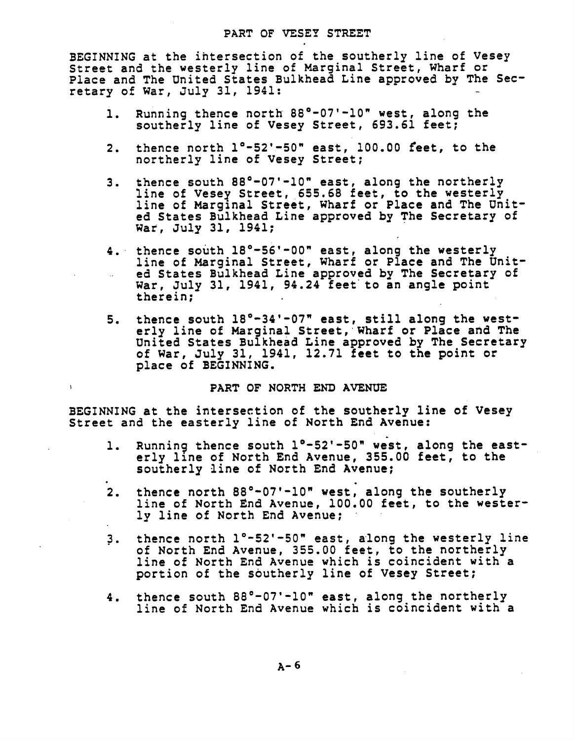### **PA**R**T** O**F VE**S**EY** ST**REET**

B**EGI**NN**ING at** t**he** iht**e**r**sec**ti**on of** t**he** so**u**t**he**r**ly li**n**e of Ve**s**ey** Str**ee**t **a**n**d** th**e** w**e**ster**l**y lin**e** o**f** Marg**i**n**a**l Str**ee**t, **Wh**ar**f** or **P**la**c**e **a**n**d** The Unit**ed** States Bulkhea**d** L**i**n**e** approve**d** b**y** The Se**c**r**e**tary o**f** W**a**r, Ju**l**y **31**, **19**4**1**:

- **i**. **R**unning t**he**n**ce** n**o**rth **88°-0**7'**-i0" we**st, **al**ong t**he** s**o**ut**he**r**l**y **li**n**e** o**f** V**e**s**e**y **S**tr**ee**t, **6**9**3**.**61 fee**t;
- **2**. th**e**nc**e** north l°-5**2**'-50**" e**ast, **1**00.00 f**ee**t, to th**e** northerly **l**in**e of V**e**se**y Str**ee**t;
- **3**. \_h**e**n**c**e south 88°-07'-10**"** east, a**l**on**g** th**e** northerly **li**n**e** o**f** Vesey Stre**e**t, **65**5.**6**8 **feet**, to th**e** westerly line o**f** Marginal Str**eet**, Wharf or **P**la**ce a**nd Th**e U**n**i**t**ed** S**t**at**e**s **B**ulkh**e**a**d L**in**e** approv**ed** by The S**ec**r**e**tary o**f** war, **J**ul**y 31**, **1**941;
- 4. **t**h**e**n**c**e south 18°-5**6**'-00**" e**ast, alon**g** the w**e**st**e**rly l**i**n**e** o**f** Mar**g**inal Street, Whar**f o**r **P**la**c**e and The Un**i**t- **.**. ed St**a**t**e**s Bu**l**k**head L**in**e a**ppr**o**v**ed b**y **T**h**e** S**ec**r**e**tary o**f W**ar, **J**uly **3**1, 1941, 94.**2**4 **fee**t to an angl**e p**o**i**nt t**h**e**r**ein;
- **5**. th**e**n**c**e **s**outh 18°-**3**4'-07**" e**as**t**, sti**l**l alon**g** th**e** west**e**r**ly l**in**e of** Ma**rg**in**al** Str**e**et, **Wha**r**f** o**r Place a**nd **Th**e **U**nite**d** St**a**tes Bu**l**k**he**a**d L**in**e app**rove**d by Th**e Se**cr**et**a**ry of War, **J**u**l**y **3**1, 1941, 1**2**.71 fe**e**t to the **p**oint **o**r pla**c**e o**f** B**E**G**I**NN**I**N**G**.

### **P**A**RT OF** NO**RTH END AVENUE**

**BEGI**NN**I**N**G a**t t**he** i**n**t**e**rs**ecti**on **of** t**he** s**o**ut**herly l**i**ne of Ve**s**ey** Str**ee**t **a**n**d the ea**s**te**r**ly l**i**ne** o**f** N**or**t**h End Aven**ue:

 $\mathbf{I}$ 

- **i. R**unn**i**n**g** t**he**n**ce** s**o**ut**h i**°**-52'-**5**0"** we**s**t**, alo**n**g** t**he ea**st**e**r**ly line** o**f No**rt**h End A**v**enue, 355**.**00 fee**t**, to** t**he so**ut**herly** l**i**n**e of** N**o**rt**h End Aven**u**e**;
- **2**. t**he**n**ce north 88**°-**07**'**-I0" wes**t**, al**on**g** t**he so**ut**he**r**ly li**n**e of** N**o**rt**h E**n**d Ave**nu**e, i00.00 fe**et**,** to t**h**e **w**esterly **l**i**n**e **of** North **E**nd Avenu**e**;
- **3**. then**c**e north i°-52'-50" east, a**l**ong the westerly l**i**ne o**f** North **E**nd Avenue, **3**55.00 **f**eet, t**o** the northerly **l**in**e of** North **E**n**d** Av**e**nu**e** w**h**i**ch** is **co**in**c**id**e**n**t** w**i**t**h a po**rti**o**n **of** th**e** sout**he**r**l**y **li**n**e of** Vesey Street;
- 4. th**e**n**ce** south 88°-07'-I0**" e**ast, alon**g** th**e** northerly l**i**n**e** o**f** North **E**nd Avenue whi**c**h is **c**oin**c**i**d**ent w**i**th a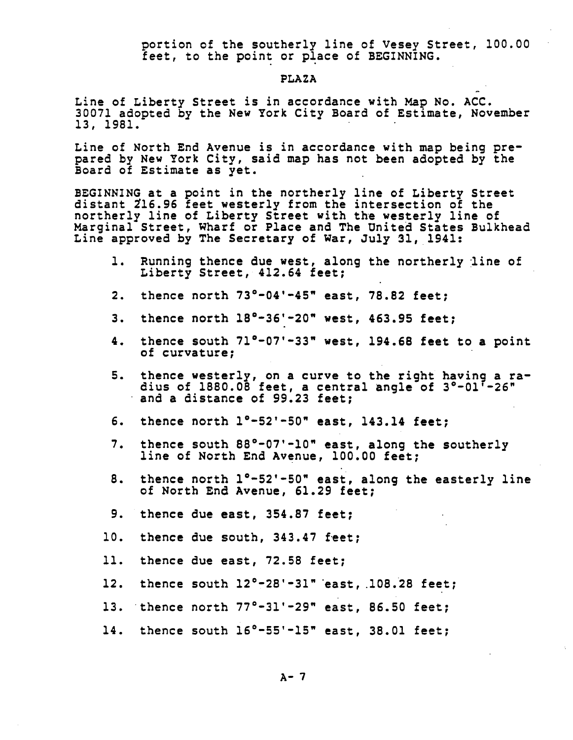portion of the southerly line of Vesey Street, 100.00 feet, to the point or place of BEGINNING.

#### **PLAZA**

Line of Liberty Street is in accordance with Map No. ACC. 30071 adopted by the New York City Board of Estimate, November 13, 1981.

Line of North End Avenue is in accordance with map being prepared by New York City, said map has not been adopted by the Board of Estimate as yet.

BEGINNING at a point in the northerly line of Liberty Street distant 216.96 feet westerly from the intersection of the northerly line of Liberty Street with the westerly line of Marginal Street, Wharf or Place and The United States Bulkhead Line approved by The Secretary of War, July 31, 1941:

- 1. Running thence due west, along the northerly line of Liberty Street, 412.64 feet;
- thence north  $73^{\circ}-04'-45''$  east,  $78.82$  feet;  $2.$
- thence north  $18^{\circ} 36' 20''$  west, 463.95 feet; 3.
- thence south 71°-07'-33" west, 194.68 feet to a point  $4.$ of curvature:
- thence westerly, on a curve to the right having a ra-5. dius of 1880.08 feet, a central angle of 3°-01'-26" and a distance of 99.23 feet;
- 6. thence north  $1^{\circ}-52^{\circ}-50^{\circ}$  east, 143.14 feet:
- $7.$ thence south 88°-07'-10" east, along the southerly line of North End Avenue, 100.00 feet;
- thence north 1°-52'-50" east, along the easterly line 8. of North End Avenue, 61.29 feet;
- 9. thence due east, 354.87 feet;
- 10. thence due south, 343.47 feet;
- thence due east, 72.58 feet; 11.
- 12. thence south  $12^{\circ} - 28' - 31''$  east, 108.28 feet;
- 13. thence north  $77^{\circ} 31' 29''$  east, 86.50 feet;
- 14. thence south  $16^{\circ}$ -55'-15" east, 38.01 feet;

 $A - 7$